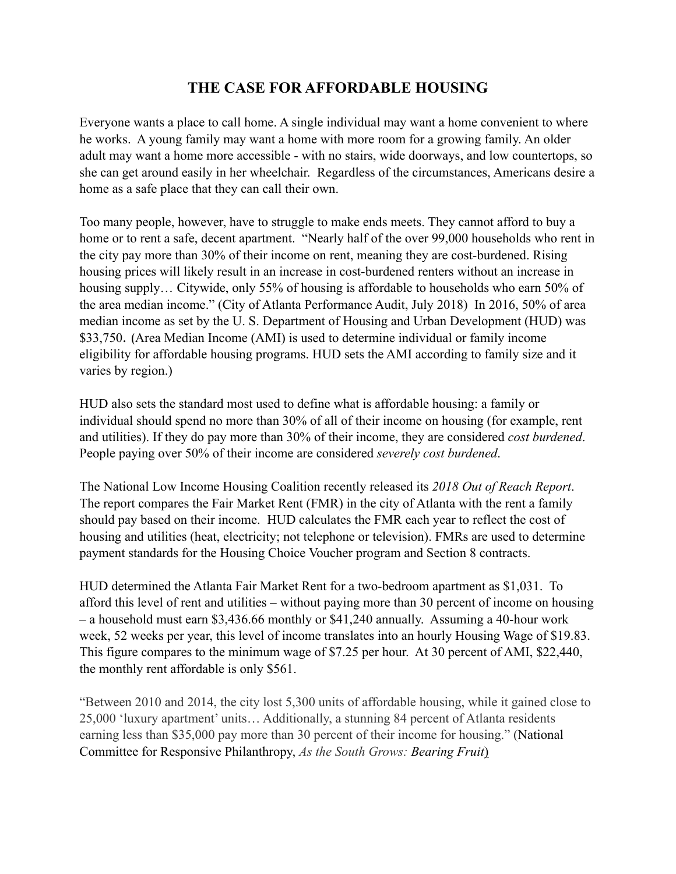## **THE CASE FOR AFFORDABLE HOUSING**

Everyone wants a place to call home. A single individual may want a home convenient to where he works. A young family may want a home with more room for a growing family. An older adult may want a home more accessible - with no stairs, wide doorways, and low countertops, so she can get around easily in her wheelchair. Regardless of the circumstances, Americans desire a home as a safe place that they can call their own.

Too many people, however, have to struggle to make ends meets. They cannot afford to buy a home or to rent a safe, decent apartment. "Nearly half of the over 99,000 households who rent in the city pay more than 30% of their income on rent, meaning they are cost-burdened. Rising housing prices will likely result in an increase in cost-burdened renters without an increase in housing supply... Citywide, only 55% of housing is affordable to households who earn 50% of the area median income." (City of Atlanta Performance Audit, July 2018) In 2016, 50% of area median income as set by the U. S. Department of Housing and Urban Development (HUD) was \$33,750. (Area Median Income (AMI) is used to determine individual or family income eligibility for affordable housing programs. HUD sets the AMI according to family size and it varies by region.)

HUD also sets the standard most used to define what is affordable housing: a family or individual should spend no more than 30% of all of their income on housing (for example, rent and utilities). If they do pay more than 30% of their income, they are considered *cost burdened*. People paying over 50% of their income are considered *severely cost burdened*.

The National Low Income Housing Coalition recently released its *2018 Out of Reach Report*. The report compares the Fair Market Rent (FMR) in the city of Atlanta with the rent a family should pay based on their income. HUD calculates the FMR each year to reflect the cost of housing and utilities (heat, electricity; not telephone or television). FMRs are used to determine payment standards for the Housing Choice Voucher program and Section 8 contracts.

HUD determined the Atlanta Fair Market Rent for a two-bedroom apartment as \$1,031. To afford this level of rent and utilities – without paying more than 30 percent of income on housing – a household must earn \$3,436.66 monthly or \$41,240 annually. Assuming a 40-hour work week, 52 weeks per year, this level of income translates into an hourly Housing Wage of \$19.83. This figure compares to the minimum wage of \$7.25 per hour. At 30 percent of AMI, \$22,440, the monthly rent affordable is only \$561.

"Between 2010 and 2014, the city lost 5,300 units of affordable housing, while it gained close to 25,000 'luxury apartment' units… Additionally, a stunning 84 percent of Atlanta residents earning less than \$35,000 pay more than 30 percent of their income for housing." (National Committee for Responsive Philanthropy, *As the South Grows: Bearing Fruit*)